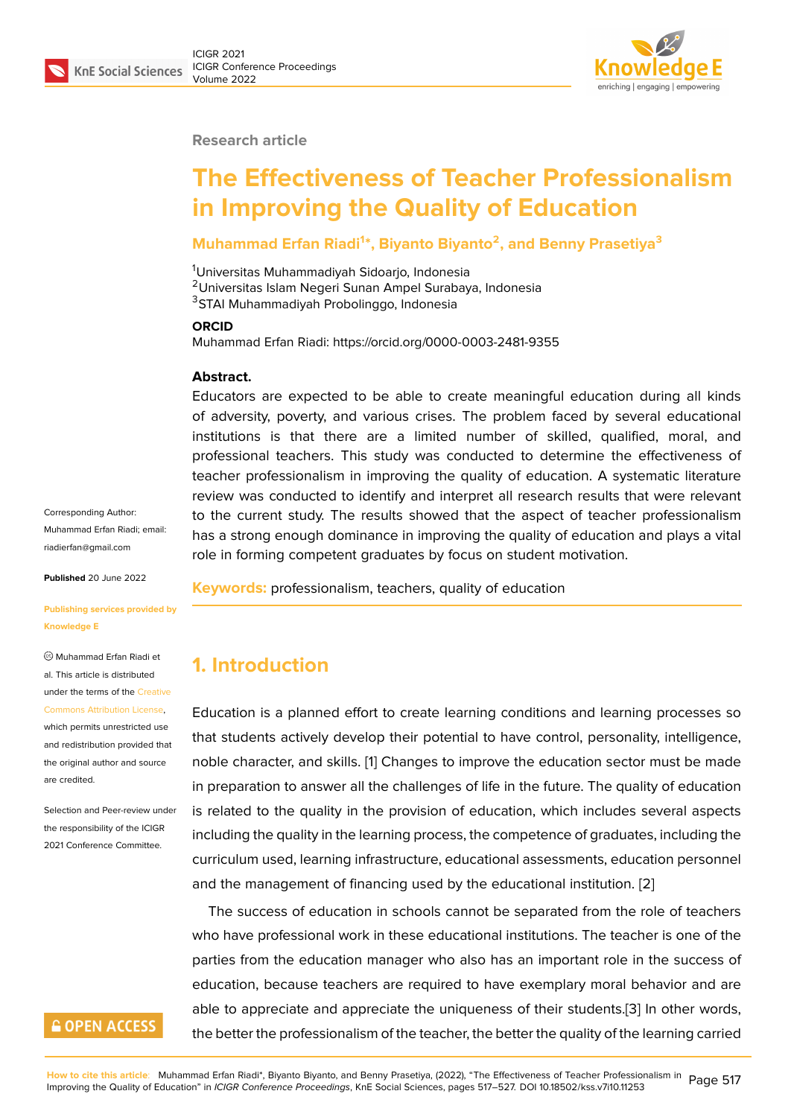#### **Research article**

# **The Effectiveness of Teacher Professionalism in Improving the Quality of Education**

### **Muhammad Erfan Riadi<sup>1</sup> \*, Biyanto Biyanto<sup>2</sup> , and Benny Prasetiya<sup>3</sup>**

<sup>1</sup>Universitas Muhammadiyah Sidoarjo, Indonesia <sup>2</sup>Universitas Islam Negeri Sunan Ampel Surabaya, Indonesia <sup>3</sup>STAI Muhammadiyah Probolinggo, Indonesia

#### **ORCID**

Muhammad Erfan Riadi: https://orcid.org/0000-0003-2481-9355

#### **Abstract.**

Educators are expected to be able to create meaningful education during all kinds of adversity, poverty, and various crises. The problem faced by several educational institutions is that there are a limited number of skilled, qualified, moral, and professional teachers. This study was conducted to determine the effectiveness of teacher professionalism in improving the quality of education. A systematic literature review was conducted to identify and interpret all research results that were relevant to the current study. The results showed that the aspect of teacher professionalism has a strong enough dominance in improving the quality of education and plays a vital role in forming competent graduates by focus on student motivation.

**Published** 20 June 2022

Corresponding Author: Muhammad Erfan Riadi; email: riadierfan@gmail.com

#### **[Publishing services p](mailto:riadierfan@gmail.com)rovided by Knowledge E**

Muhammad Erfan Riadi et al. This article is distributed under the terms of the Creative Commons Attribution License,

which permits unrestricted use and redistribution provided that the original author and [source](https://creativecommons.org/licenses/by/4.0/) [are credited.](https://creativecommons.org/licenses/by/4.0/)

Selection and Peer-review under the responsibility of the ICIGR 2021 Conference Committee.

### **GOPEN ACCESS**

**Keywords:** professionalism, teachers, quality of education

### **1. Introduction**

Education is a planned effort to create learning conditions and learning processes so that students actively develop their potential to have control, personality, intelligence, noble character, and skills. [1] Changes to improve the education sector must be made in preparation to answer all the challenges of life in the future. The quality of education is related to the quality in the provision of education, which includes several aspects including the quality in the l[ea](#page-8-0)rning process, the competence of graduates, including the curriculum used, learning infrastructure, educational assessments, education personnel and the management of financing used by the educational institution. [2]

The success of education in schools cannot be separated from the role of teachers who have professional work in these educational institutions. The teacher is one of the parties from the education manager who also has an important role i[n t](#page-8-1)he success of education, because teachers are required to have exemplary moral behavior and are able to appreciate and appreciate the uniqueness of their students.[3] In other words, the better the professionalism of the teacher, the better the quality of the learning carried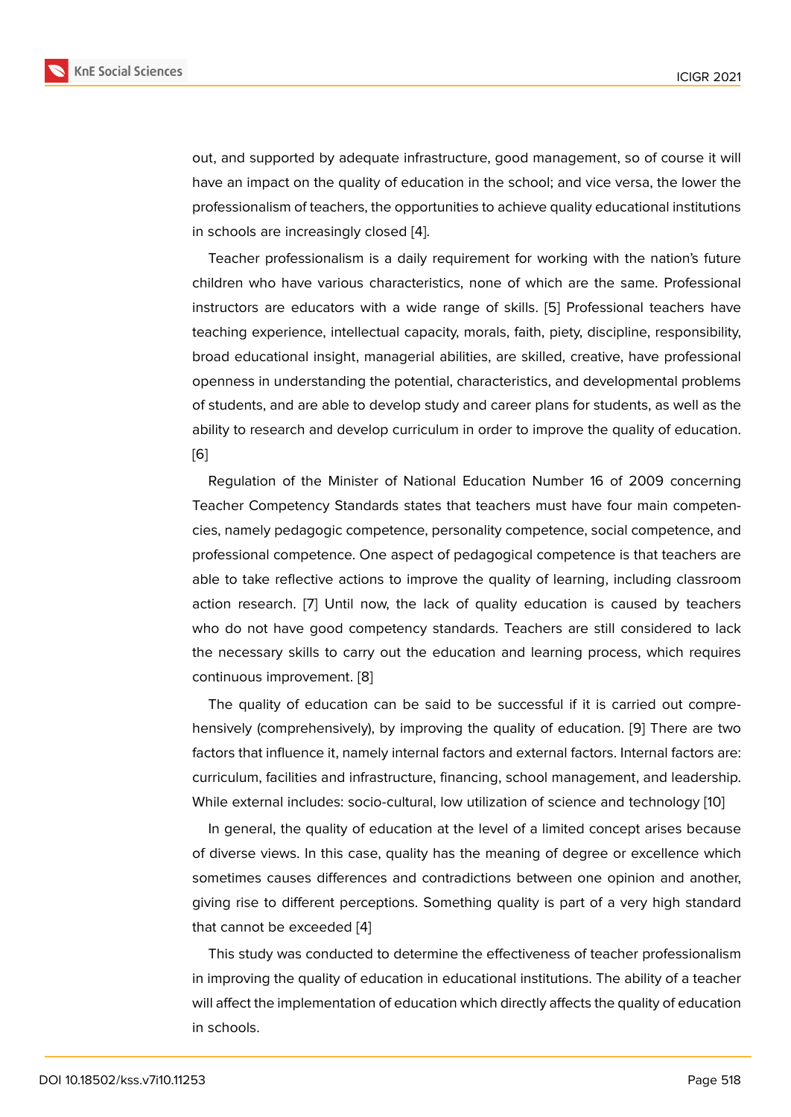out, and supported by adequate infrastructure, good management, so of course it will have an impact on the quality of education in the school; and vice versa, the lower the professionalism of teachers, the opportunities to achieve quality educational institutions in schools are increasingly closed [4].

Teacher professionalism is a daily requirement for working with the nation's future children who have various characteristics, none of which are the same. Professional instructors are educators with a [wid](#page-8-3)e range of skills. [5] Professional teachers have teaching experience, intellectual capacity, morals, faith, piety, discipline, responsibility, broad educational insight, managerial abilities, are skilled, creative, have professional openness in understanding the potential, characteristics[, a](#page-8-4)nd developmental problems of students, and are able to develop study and career plans for students, as well as the ability to research and develop curriculum in order to improve the quality of education. [6]

Regulation of the Minister of National Education Number 16 of 2009 concerning Teacher Competency Standards states that teachers must have four main competen[cie](#page-8-5)s, namely pedagogic competence, personality competence, social competence, and professional competence. One aspect of pedagogical competence is that teachers are able to take reflective actions to improve the quality of learning, including classroom action research. [7] Until now, the lack of quality education is caused by teachers who do not have good competency standards. Teachers are still considered to lack the necessary skills to carry out the education and learning process, which requires continuous impro[ve](#page-8-6)ment. [8]

The quality of education can be said to be successful if it is carried out comprehensively (comprehensively), by improving the quality of education. [9] There are two factors that influence it, na[m](#page-8-7)ely internal factors and external factors. Internal factors are: curriculum, facilities and infrastructure, financing, school management, and leadership. While external includes: socio-cultural, low utilization of science and t[e](#page-8-8)chnology [10]

In general, the quality of education at the level of a limited concept arises because of diverse views. In this case, quality has the meaning of degree or excellence which sometimes causes differences and contradictions between one opinion and an[oth](#page-8-9)er, giving rise to different perceptions. Something quality is part of a very high standard that cannot be exceeded [4]

This study was conducted to determine the effectiveness of teacher professionalism in improving the quality of education in educational institutions. The ability of a teacher will affect the implementati[o](#page-8-3)n of education which directly affects the quality of education in schools.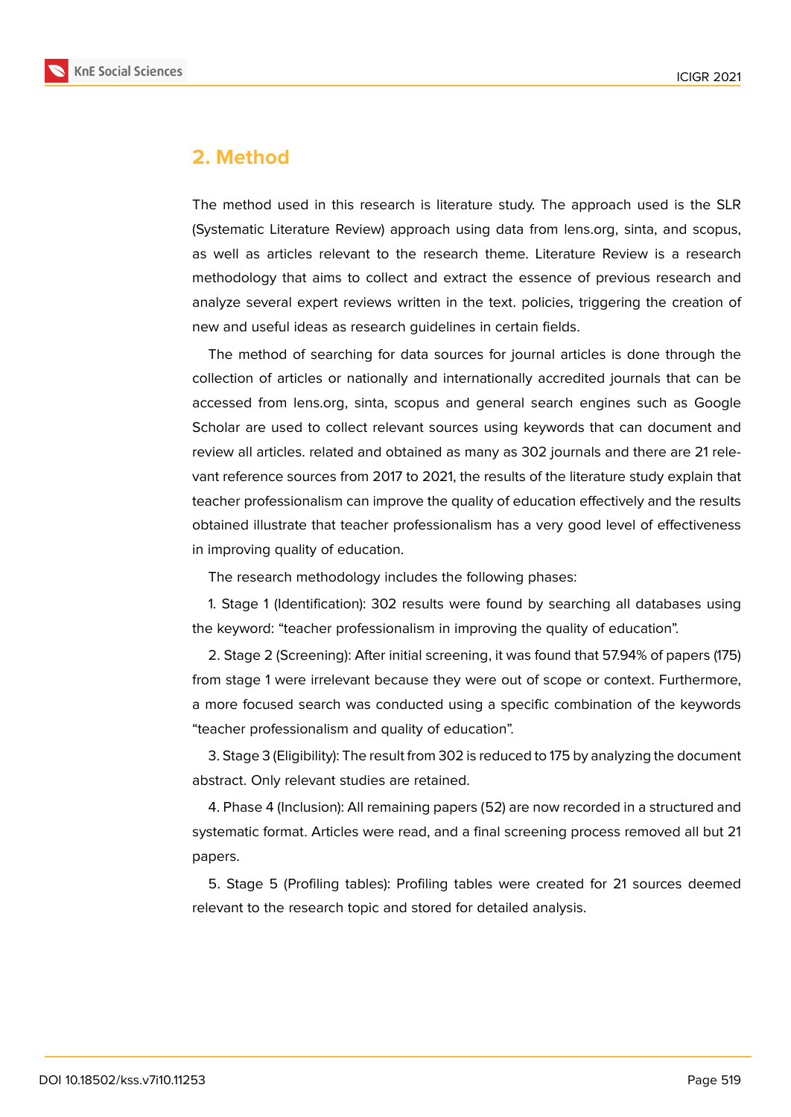

### **2. Method**

The method used in this research is literature study. The approach used is the SLR (Systematic Literature Review) approach using data from lens.org, sinta, and scopus, as well as articles relevant to the research theme. Literature Review is a research methodology that aims to collect and extract the essence of previous research and analyze several expert reviews written in the text. policies, triggering the creation of new and useful ideas as research guidelines in certain fields.

The method of searching for data sources for journal articles is done through the collection of articles or nationally and internationally accredited journals that can be accessed from lens.org, sinta, scopus and general search engines such as Google Scholar are used to collect relevant sources using keywords that can document and review all articles. related and obtained as many as 302 journals and there are 21 relevant reference sources from 2017 to 2021, the results of the literature study explain that teacher professionalism can improve the quality of education effectively and the results obtained illustrate that teacher professionalism has a very good level of effectiveness in improving quality of education.

The research methodology includes the following phases:

1. Stage 1 (Identification): 302 results were found by searching all databases using the keyword: "teacher professionalism in improving the quality of education".

2. Stage 2 (Screening): After initial screening, it was found that 57.94% of papers (175) from stage 1 were irrelevant because they were out of scope or context. Furthermore, a more focused search was conducted using a specific combination of the keywords "teacher professionalism and quality of education".

3. Stage 3 (Eligibility): The result from 302 is reduced to 175 by analyzing the document abstract. Only relevant studies are retained.

4. Phase 4 (Inclusion): All remaining papers (52) are now recorded in a structured and systematic format. Articles were read, and a final screening process removed all but 21 papers.

5. Stage 5 (Profiling tables): Profiling tables were created for 21 sources deemed relevant to the research topic and stored for detailed analysis.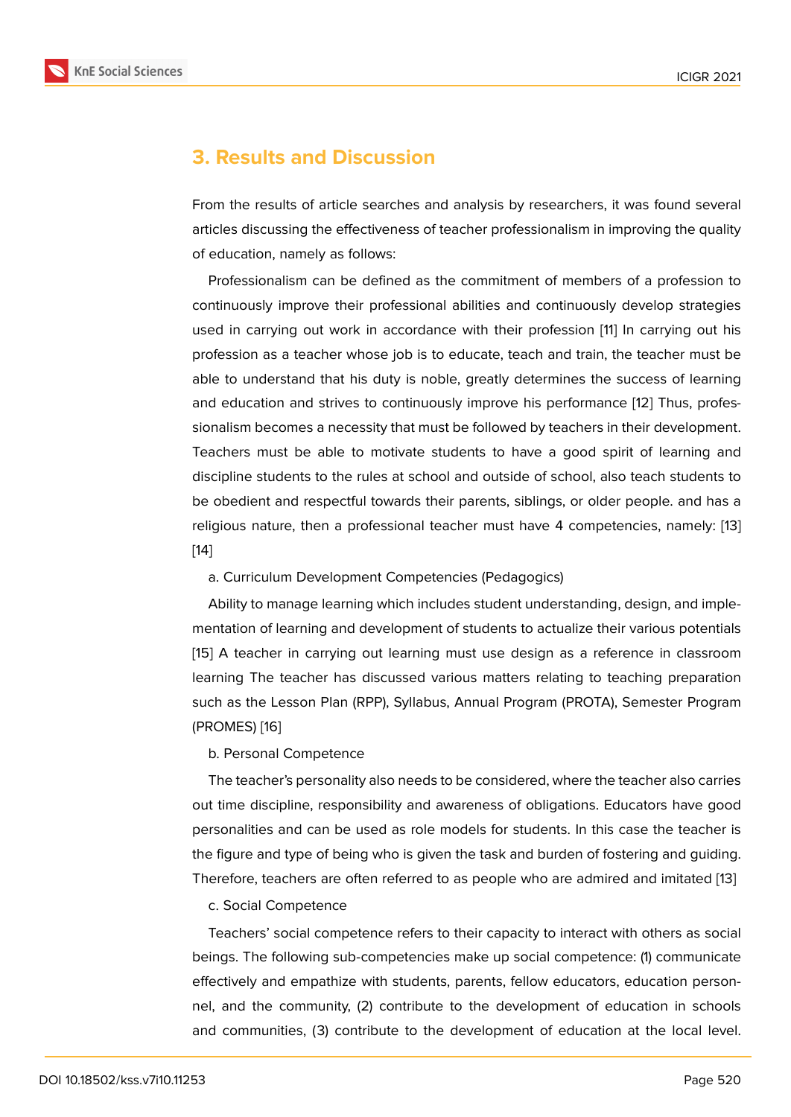### **3. Results and Discussion**

From the results of article searches and analysis by researchers, it was found several articles discussing the effectiveness of teacher professionalism in improving the quality of education, namely as follows:

Professionalism can be defined as the commitment of members of a profession to continuously improve their professional abilities and continuously develop strategies used in carrying out work in accordance with their profession [11] In carrying out his profession as a teacher whose job is to educate, teach and train, the teacher must be able to understand that his duty is noble, greatly determines the success of learning and education and strives to continuously improve his perform[anc](#page-9-0)e [12] Thus, professionalism becomes a necessity that must be followed by teachers in their development. Teachers must be able to motivate students to have a good spirit of learning and discipline students to the rules at school and outside of school, also t[ea](#page-9-1)ch students to be obedient and respectful towards their parents, siblings, or older people. and has a religious nature, then a professional teacher must have 4 competencies, namely: [13] [14]

#### a. Curriculum Development Competencies (Pedagogics)

Ability to manage learning which includes student understanding, design, and im[ple](#page-9-2)[me](#page-9-3)ntation of learning and development of students to actualize their various potentials [15] A teacher in carrying out learning must use design as a reference in classroom learning The teacher has discussed various matters relating to teaching preparation such as the Lesson Plan (RPP), Syllabus, Annual Program (PROTA), Semester Program ([PR](#page-9-4)OMES) [16]

### b. Personal Competence

The teacher's personality also needs to be considered, where the teacher also carries out time di[sci](#page-9-5)pline, responsibility and awareness of obligations. Educators have good personalities and can be used as role models for students. In this case the teacher is the figure and type of being who is given the task and burden of fostering and guiding. Therefore, teachers are often referred to as people who are admired and imitated [13]

### c. Social Competence

Teachers' social competence refers to their capacity to interact with others as s[ocia](#page-9-2)l beings. The following sub-competencies make up social competence: (1) communicate effectively and empathize with students, parents, fellow educators, education personnel, and the community, (2) contribute to the development of education in schools and communities, (3) contribute to the development of education at the local level.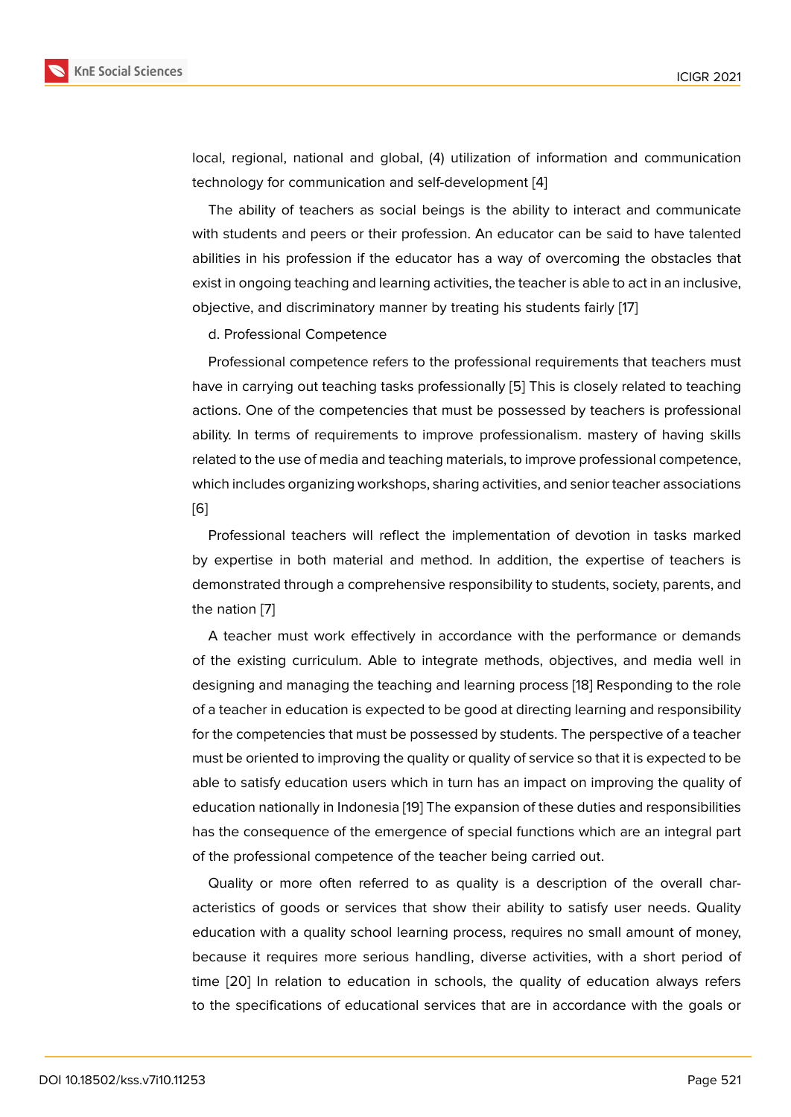local, regional, national and global, (4) utilization of information and communication technology for communication and self-development [4]

The ability of teachers as social beings is the ability to interact and communicate with students and peers or their profession. An educator can be said to have talented abilities in his profession if the educator has a way [of](#page-8-3) overcoming the obstacles that exist in ongoing teaching and learning activities, the teacher is able to act in an inclusive, objective, and discriminatory manner by treating his students fairly [17]

d. Professional Competence

Professional competence refers to the professional requirements [th](#page-9-6)at teachers must have in carrying out teaching tasks professionally [5] This is closely related to teaching actions. One of the competencies that must be possessed by teachers is professional ability. In terms of requirements to improve professionalism. mastery of having skills related to the use of media and teaching materials, [to](#page-8-4) improve professional competence, which includes organizing workshops, sharing activities, and senior teacher associations [6]

Professional teachers will reflect the implementation of devotion in tasks marked by expertise in both material and method. In addition, the expertise of teachers is [de](#page-8-5)monstrated through a comprehensive responsibility to students, society, parents, and the nation [7]

A teacher must work effectively in accordance with the performance or demands of the existing curriculum. Able to integrate methods, objectives, and media well in designing [an](#page-8-6)d managing the teaching and learning process [18] Responding to the role of a teacher in education is expected to be good at directing learning and responsibility for the competencies that must be possessed by students. The perspective of a teacher must be oriented to improving the quality or quality of service [so](#page-9-7) that it is expected to be able to satisfy education users which in turn has an impact on improving the quality of education nationally in Indonesia [19] The expansion of these duties and responsibilities has the consequence of the emergence of special functions which are an integral part of the professional competence of the teacher being carried out.

Quality or more often referre[d t](#page-9-8)o as quality is a description of the overall characteristics of goods or services that show their ability to satisfy user needs. Quality education with a quality school learning process, requires no small amount of money, because it requires more serious handling, diverse activities, with a short period of time [20] In relation to education in schools, the quality of education always refers to the specifications of educational services that are in accordance with the goals or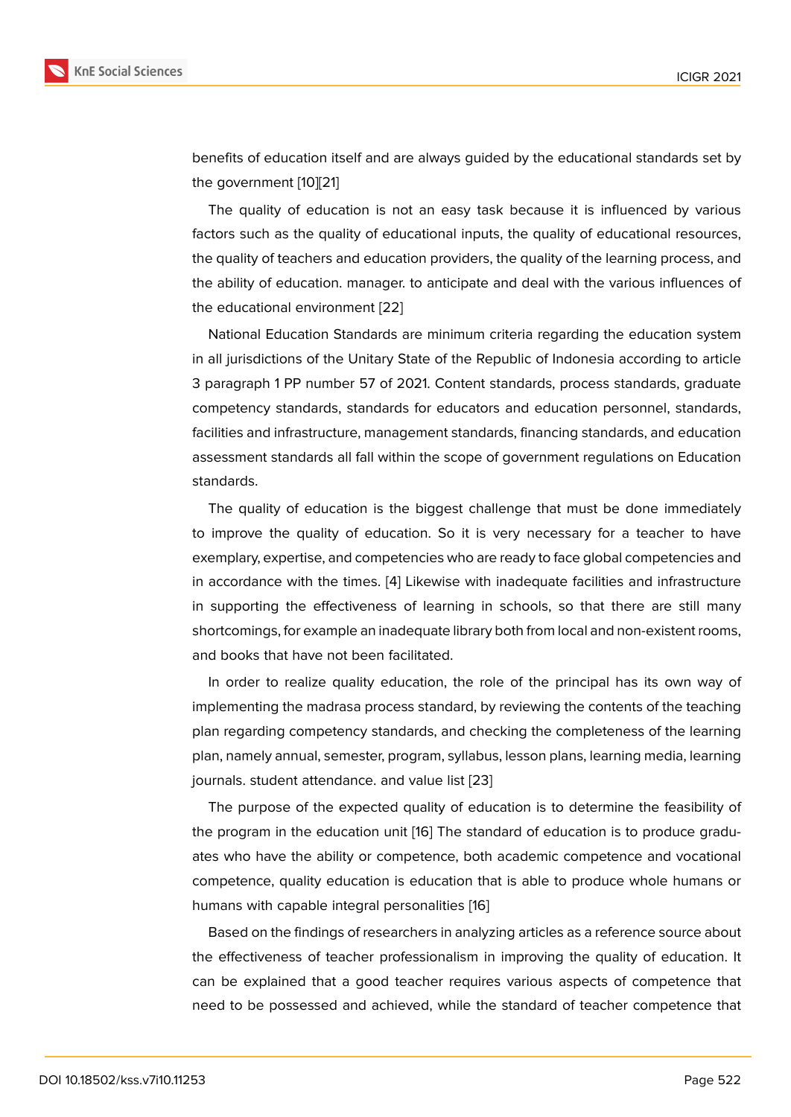benefits of education itself and are always guided by the educational standards set by the government [10][21]

The quality of education is not an easy task because it is influenced by various factors such as the quality of educational inputs, the quality of educational resources, the quality of tea[che](#page-8-9)[rs](#page-9-9) and education providers, the quality of the learning process, and the ability of education. manager. to anticipate and deal with the various influences of the educational environment [22]

National Education Standards are minimum criteria regarding the education system in all jurisdictions of the Unitary State of the Republic of Indonesia according to article 3 paragraph 1 PP number 57 [of 2](#page-9-10)021. Content standards, process standards, graduate competency standards, standards for educators and education personnel, standards, facilities and infrastructure, management standards, financing standards, and education assessment standards all fall within the scope of government regulations on Education standards.

The quality of education is the biggest challenge that must be done immediately to improve the quality of education. So it is very necessary for a teacher to have exemplary, expertise, and competencies who are ready to face global competencies and in accordance with the times. [4] Likewise with inadequate facilities and infrastructure in supporting the effectiveness of learning in schools, so that there are still many shortcomings, for example an inadequate library both from local and non-existent rooms, and books that have not been [fa](#page-8-3)cilitated.

In order to realize quality education, the role of the principal has its own way of implementing the madrasa process standard, by reviewing the contents of the teaching plan regarding competency standards, and checking the completeness of the learning plan, namely annual, semester, program, syllabus, lesson plans, learning media, learning journals. student attendance. and value list [23]

The purpose of the expected quality of education is to determine the feasibility of the program in the education unit [16] The standard of education is to produce graduates who have the ability or competence, b[oth](#page-9-11) academic competence and vocational competence, quality education is education that is able to produce whole humans or humans with capable integral pers[ona](#page-9-5)lities [16]

Based on the findings of researchers in analyzing articles as a reference source about the effectiveness of teacher professionalism in improving the quality of education. It can be explained that a good teacher req[uir](#page-9-5)es various aspects of competence that need to be possessed and achieved, while the standard of teacher competence that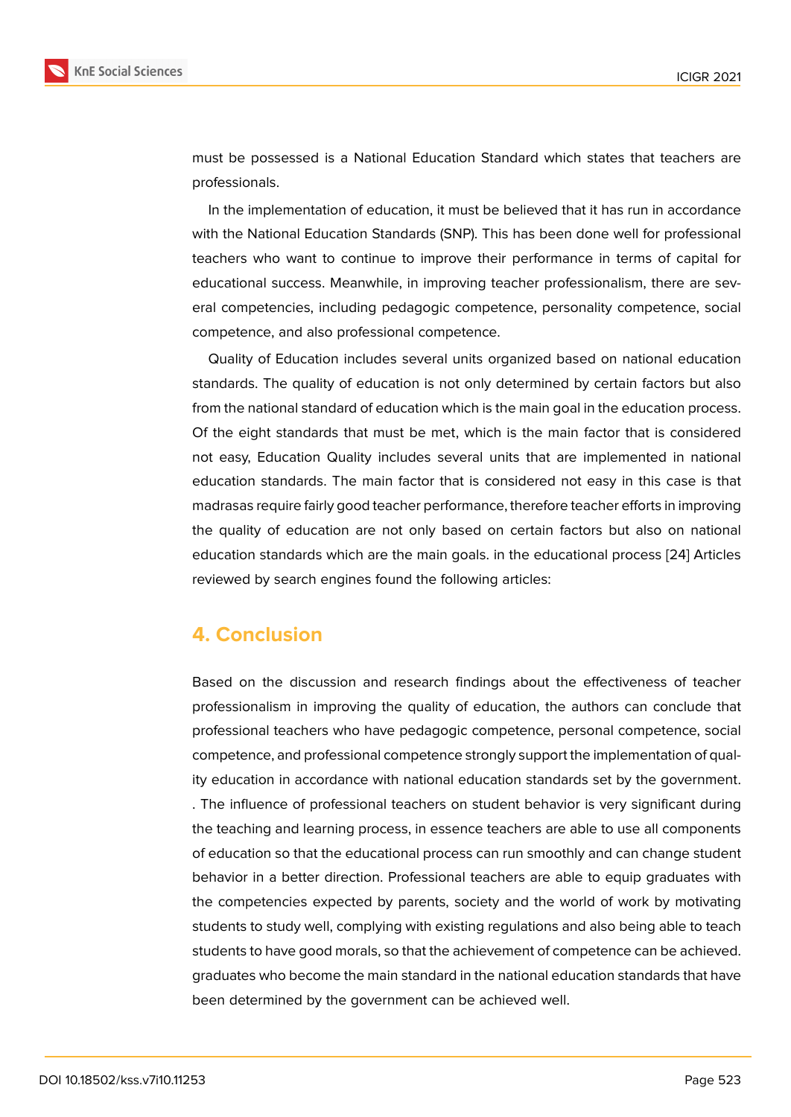must be possessed is a National Education Standard which states that teachers are professionals.

In the implementation of education, it must be believed that it has run in accordance with the National Education Standards (SNP). This has been done well for professional teachers who want to continue to improve their performance in terms of capital for educational success. Meanwhile, in improving teacher professionalism, there are several competencies, including pedagogic competence, personality competence, social competence, and also professional competence.

Quality of Education includes several units organized based on national education standards. The quality of education is not only determined by certain factors but also from the national standard of education which is the main goal in the education process. Of the eight standards that must be met, which is the main factor that is considered not easy, Education Quality includes several units that are implemented in national education standards. The main factor that is considered not easy in this case is that madrasas require fairly good teacher performance, therefore teacher efforts in improving the quality of education are not only based on certain factors but also on national education standards which are the main goals. in the educational process [24] Articles reviewed by search engines found the following articles:

## **4. Conclusion**

Based on the discussion and research findings about the effectiveness of teacher professionalism in improving the quality of education, the authors can conclude that professional teachers who have pedagogic competence, personal competence, social competence, and professional competence strongly support the implementation of quality education in accordance with national education standards set by the government. . The influence of professional teachers on student behavior is very significant during the teaching and learning process, in essence teachers are able to use all components of education so that the educational process can run smoothly and can change student behavior in a better direction. Professional teachers are able to equip graduates with the competencies expected by parents, society and the world of work by motivating students to study well, complying with existing regulations and also being able to teach students to have good morals, so that the achievement of competence can be achieved. graduates who become the main standard in the national education standards that have been determined by the government can be achieved well.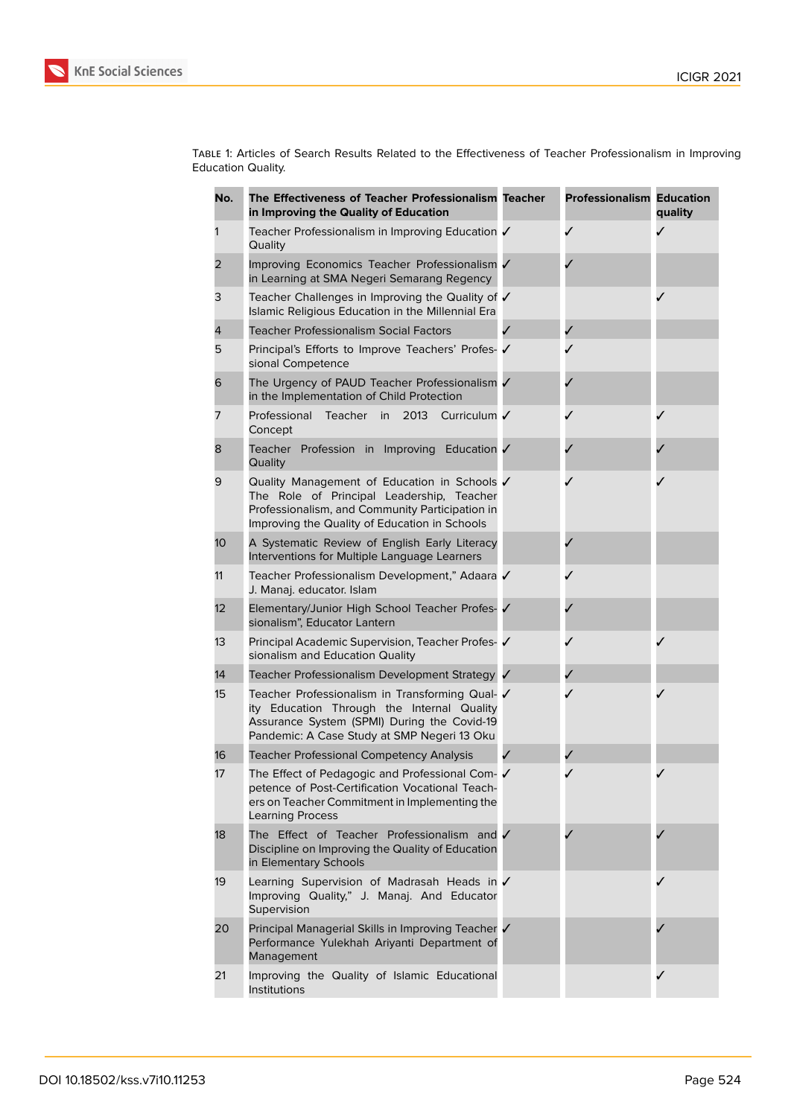

Table 1: Articles of Search Results Related to the Effectiveness of Teacher Professionalism in Improving Education Quality.

| No. | The Effectiveness of Teacher Professionalism Teacher<br>in Improving the Quality of Education                                                                                                 | <b>Professionalism Education</b> | quality |
|-----|-----------------------------------------------------------------------------------------------------------------------------------------------------------------------------------------------|----------------------------------|---------|
| 1   | Teacher Professionalism in Improving Education ✔<br>Quality                                                                                                                                   | ✓                                | Í       |
| 2   | Improving Economics Teacher Professionalism V<br>in Learning at SMA Negeri Semarang Regency                                                                                                   |                                  |         |
| 3   | Teacher Challenges in Improving the Quality of √<br>Islamic Religious Education in the Millennial Era                                                                                         |                                  |         |
| 4   | <b>Teacher Professionalism Social Factors</b>                                                                                                                                                 |                                  |         |
| 5   | Principal's Efforts to Improve Teachers' Profes- ✔<br>sional Competence                                                                                                                       |                                  |         |
| 6   | The Urgency of PAUD Teacher Professionalism V<br>in the Implementation of Child Protection                                                                                                    |                                  |         |
| 7   | <b>Teacher</b><br>2013<br>Curriculum /<br>Professional<br>in<br>Concept                                                                                                                       |                                  |         |
| 8   | Teacher Profession in Improving Education V<br>Quality                                                                                                                                        |                                  |         |
| 9   | Quality Management of Education in Schools V<br>The Role of Principal Leadership, Teacher<br>Professionalism, and Community Participation in<br>Improving the Quality of Education in Schools |                                  |         |
| 10  | A Systematic Review of English Early Literacy<br>Interventions for Multiple Language Learners                                                                                                 |                                  |         |
| 11  | Teacher Professionalism Development," Adaara √<br>J. Manaj. educator. Islam                                                                                                                   |                                  |         |
| 12  | Elementary/Junior High School Teacher Profes- √<br>sionalism", Educator Lantern                                                                                                               |                                  |         |
| 13  | Principal Academic Supervision, Teacher Profes- V<br>sionalism and Education Quality                                                                                                          |                                  |         |
| 14  | Teacher Professionalism Development Strategy √                                                                                                                                                |                                  |         |
| 15  | Teacher Professionalism in Transforming Qual- V<br>ity Education Through the Internal Quality<br>Assurance System (SPMI) During the Covid-19<br>Pandemic: A Case Study at SMP Negeri 13 Oku   |                                  |         |
| 16  | <b>Teacher Professional Competency Analysis</b>                                                                                                                                               |                                  |         |
| 17  | The Effect of Pedagogic and Professional Com- √<br>petence of Post-Certification Vocational Teach-<br>ers on Teacher Commitment in Implementing the<br>Learning Process                       |                                  |         |
| 18  | The Effect of Teacher Professionalism and V<br>Discipline on Improving the Quality of Education<br>in Elementary Schools                                                                      |                                  |         |
| 19  | Learning Supervision of Madrasah Heads in /<br>Improving Quality," J. Manaj. And Educator<br>Supervision                                                                                      |                                  |         |
| 20  | Principal Managerial Skills in Improving Teacher √<br>Performance Yulekhah Ariyanti Department of<br>Management                                                                               |                                  |         |
| 21  | Improving the Quality of Islamic Educational<br>Institutions                                                                                                                                  |                                  |         |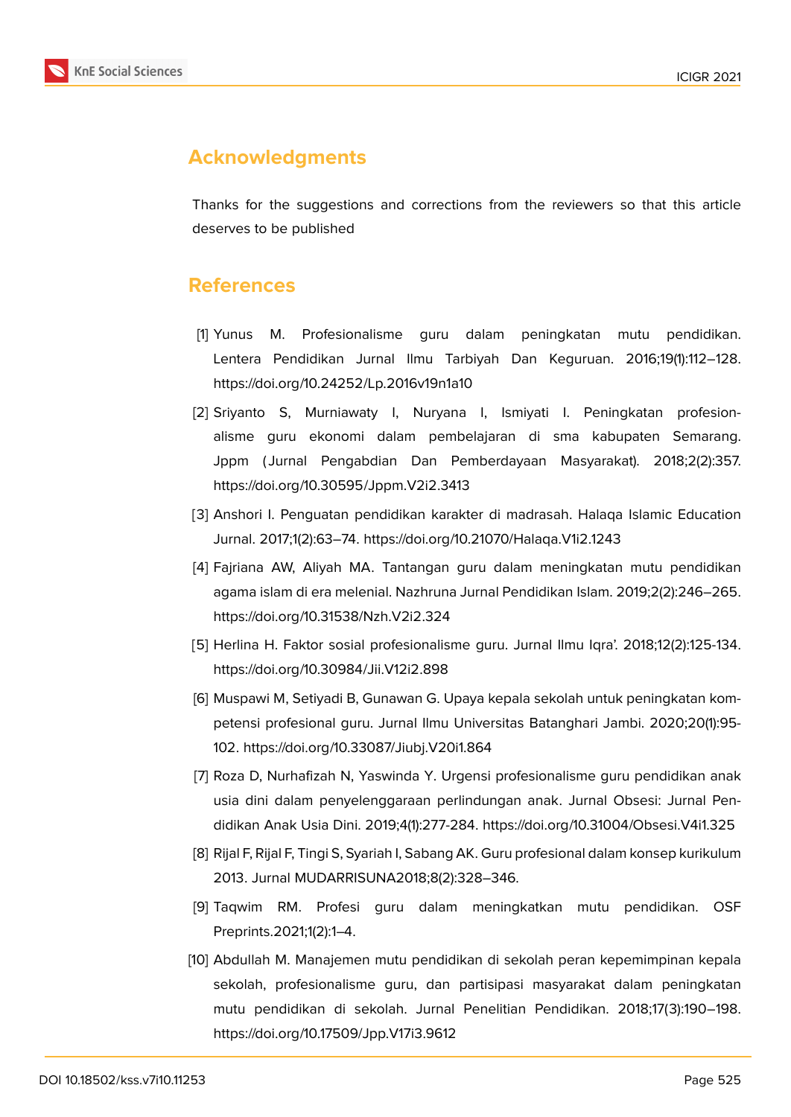

# **Acknowledgments**

Thanks for the suggestions and corrections from the reviewers so that this article deserves to be published

### **References**

- <span id="page-8-0"></span>[1] Yunus M. Profesionalisme guru dalam peningkatan mutu pendidikan. Lentera Pendidikan Jurnal Ilmu Tarbiyah Dan Keguruan. 2016;19(1):112–128. https://doi.org/10.24252/Lp.2016v19n1a10
- <span id="page-8-1"></span>[2] Sriyanto S, Murniawaty I, Nuryana I, Ismiyati I. Peningkatan profesionalisme guru ekonomi dalam pembelajaran di sma kabupaten Semarang. Jppm ( Jurnal Pengabdian Dan Pemberdayaan Masyarakat). 2018;2(2):357. https://doi.org/10.30595/Jppm.V2i2.3413
- <span id="page-8-2"></span>[3] Anshori I. Penguatan pendidikan karakter di madrasah. Halaqa Islamic Education Jurnal. 2017;1(2):63–74. https://doi.org/10.21070/Halaqa.V1i2.1243
- <span id="page-8-3"></span>[4] Fajriana AW, Aliyah MA. Tantangan guru dalam meningkatan mutu pendidikan agama islam di era melenial. Nazhruna Jurnal Pendidikan Islam. 2019;2(2):246–265. https://doi.org/10.31538/Nzh.V2i2.324
- <span id="page-8-4"></span>[5] Herlina H. Faktor sosial profesionalisme guru. Jurnal Ilmu Iqra'. 2018;12(2):125-134. https://doi.org/10.30984/Jii.V12i2.898
- <span id="page-8-5"></span>[6] Muspawi M, Setiyadi B, Gunawan G. Upaya kepala sekolah untuk peningkatan kompetensi profesional guru. Jurnal Ilmu Universitas Batanghari Jambi. 2020;20(1):95- 102. https://doi.org/10.33087/Jiubj.V20i1.864
- <span id="page-8-6"></span>[7] Roza D, Nurhafizah N, Yaswinda Y. Urgensi profesionalisme guru pendidikan anak usia dini dalam penyelenggaraan perlindungan anak. Jurnal Obsesi: Jurnal Pendidikan Anak Usia Dini. 2019;4(1):277-284. https://doi.org/10.31004/Obsesi.V4i1.325
- <span id="page-8-7"></span>[8] Rijal F, Rijal F, Tingi S, Syariah I, Sabang AK. Guru profesional dalam konsep kurikulum 2013. Jurnal MUDARRISUNA2018;8(2):328–346.
- <span id="page-8-8"></span>[9] Taqwim RM. Profesi guru dalam meningkatkan mutu pendidikan. OSF Preprints.2021;1(2):1–4.
- <span id="page-8-9"></span>[10] Abdullah M. Manajemen mutu pendidikan di sekolah peran kepemimpinan kepala sekolah, profesionalisme guru, dan partisipasi masyarakat dalam peningkatan mutu pendidikan di sekolah. Jurnal Penelitian Pendidikan. 2018;17(3):190–198. https://doi.org/10.17509/Jpp.V17i3.9612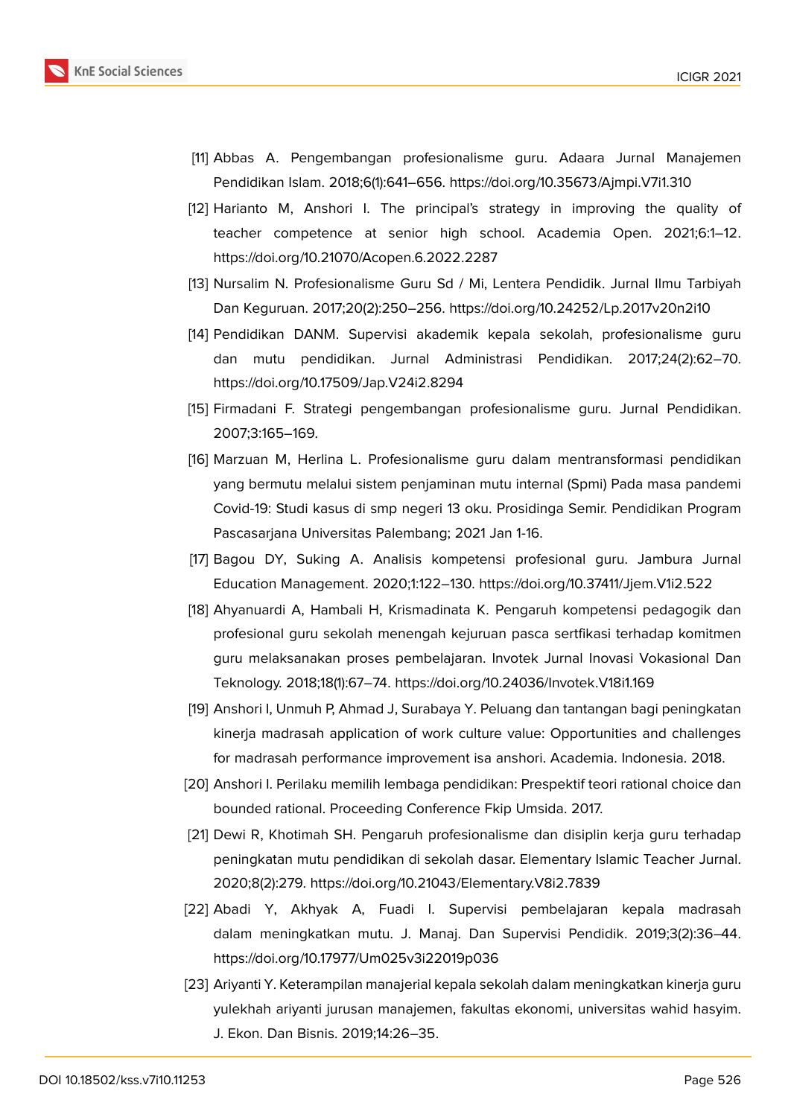

- <span id="page-9-0"></span>[11] Abbas A. Pengembangan profesionalisme guru. Adaara Jurnal Manajemen Pendidikan Islam. 2018;6(1):641–656. https://doi.org/10.35673/Ajmpi.V7i1.310
- <span id="page-9-1"></span>[12] Harianto M, Anshori I. The principal's strategy in improving the quality of teacher competence at senior high school. Academia Open. 2021;6:1–12. https://doi.org/10.21070/Acopen.6.2022.2287
- <span id="page-9-2"></span>[13] Nursalim N. Profesionalisme Guru Sd / Mi, Lentera Pendidik. Jurnal Ilmu Tarbiyah Dan Keguruan. 2017;20(2):250–256. https://doi.org/10.24252/Lp.2017v20n2i10
- <span id="page-9-3"></span>[14] Pendidikan DANM. Supervisi akademik kepala sekolah, profesionalisme guru dan mutu pendidikan. Jurnal Administrasi Pendidikan. 2017;24(2):62–70. https://doi.org/10.17509/Jap.V24i2.8294
- <span id="page-9-4"></span>[15] Firmadani F. Strategi pengembangan profesionalisme guru. Jurnal Pendidikan. 2007;3:165–169.
- <span id="page-9-5"></span>[16] Marzuan M, Herlina L. Profesionalisme guru dalam mentransformasi pendidikan yang bermutu melalui sistem penjaminan mutu internal (Spmi) Pada masa pandemi Covid-19: Studi kasus di smp negeri 13 oku. Prosidinga Semir. Pendidikan Program Pascasarjana Universitas Palembang; 2021 Jan 1-16.
- <span id="page-9-6"></span>[17] Bagou DY, Suking A. Analisis kompetensi profesional guru. Jambura Jurnal Education Management. 2020;1:122–130. https://doi.org/10.37411/Jjem.V1i2.522
- <span id="page-9-7"></span>[18] Ahyanuardi A, Hambali H, Krismadinata K. Pengaruh kompetensi pedagogik dan profesional guru sekolah menengah kejuruan pasca sertfikasi terhadap komitmen guru melaksanakan proses pembelajaran. Invotek Jurnal Inovasi Vokasional Dan Teknology. 2018;18(1):67–74. https://doi.org/10.24036/Invotek.V18i1.169
- <span id="page-9-8"></span>[19] Anshori I, Unmuh P, Ahmad J, Surabaya Y. Peluang dan tantangan bagi peningkatan kinerja madrasah application of work culture value: Opportunities and challenges for madrasah performance improvement isa anshori. Academia. Indonesia. 2018.
- [20] Anshori I. Perilaku memilih lembaga pendidikan: Prespektif teori rational choice dan bounded rational. Proceeding Conference Fkip Umsida. 2017.
- <span id="page-9-9"></span>[21] Dewi R, Khotimah SH. Pengaruh profesionalisme dan disiplin kerja guru terhadap peningkatan mutu pendidikan di sekolah dasar. Elementary Islamic Teacher Jurnal. 2020;8(2):279. https://doi.org/10.21043/Elementary.V8i2.7839
- <span id="page-9-10"></span>[22] Abadi Y, Akhyak A, Fuadi I. Supervisi pembelajaran kepala madrasah dalam meningkatkan mutu. J. Manaj. Dan Supervisi Pendidik. 2019;3(2):36–44. https://doi.org/10.17977/Um025v3i22019p036
- <span id="page-9-11"></span>[23] Ariyanti Y. Keterampilan manajerial kepala sekolah dalam meningkatkan kinerja guru yulekhah ariyanti jurusan manajemen, fakultas ekonomi, universitas wahid hasyim. J. Ekon. Dan Bisnis. 2019;14:26–35.